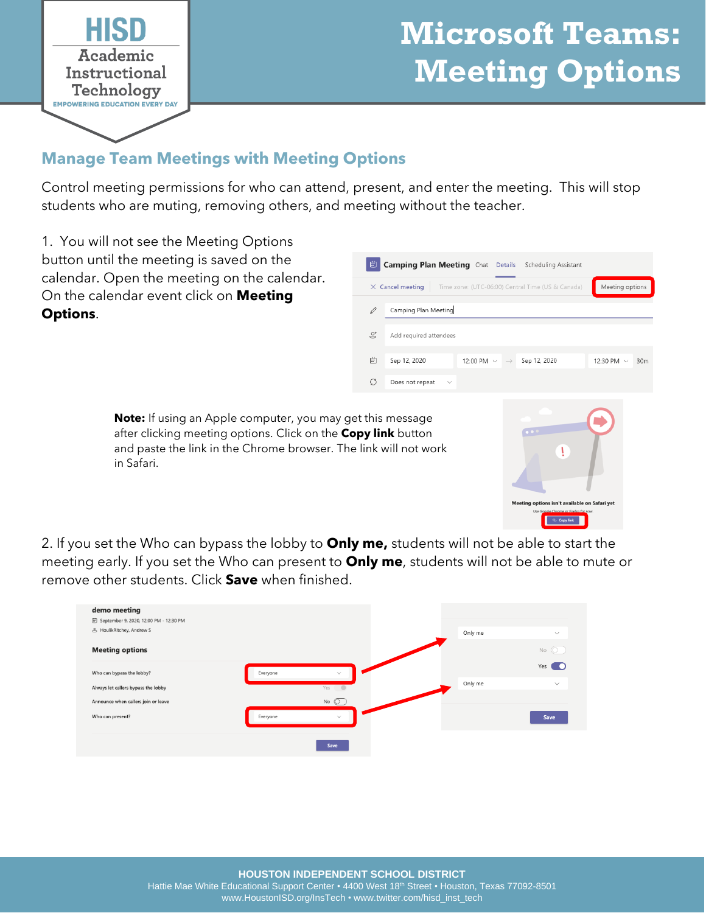

## **Microsoft Teams: Meeting Options**

## **Manage Team Meetings with Meeting Options**

Control meeting permissions for who can attend, present, and enter the meeting. This will stop students who are muting, removing others, and meeting without the teacher.

1. You will not see the Meeting Options button until the meeting is saved on the calendar. Open the meeting on the calendar. On the calendar event click on **Meeting Options**.

**ED Camping Plan Meeting** Chat Details Scheduling Assistant Meeting options X Cancel meeting Time zone: (UTC-06:00) Central Time (US & Canada) Camping Plan Meeting Add required attendees 12:00 PM  $\sim$   $\rightarrow$  Sep 12, 2020 曲 Sep 12, 2020 12:30 PM  $\sim$  30m  $\cap$ Does not repeat

**Note:** If using an Apple computer, you may get this message after clicking meeting options. Click on the **Copy link** button and paste the link in the Chrome browser. The link will not work in Safari.



2. If you set the Who can bypass the lobby to **Only me,** students will not be able to start the meeting early. If you set the Who can present to **Only me**, students will not be able to mute or remove other students. Click **Save** when finished.